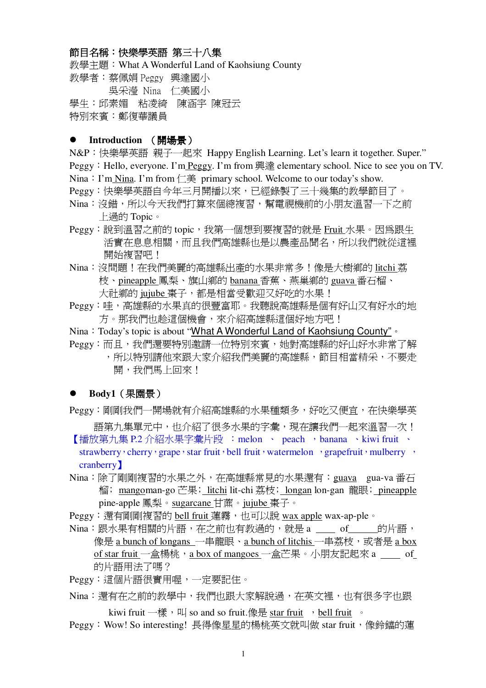## 節目名稱:快樂學英語 第三十八集

教學主題: What A Wonderful Land of Kaohsiung County 数學者:蔡佩娟 Peggy 興達國小 吳采瀅 Nina 仁美國小 學生:邱素媚 粘凌綺 陳涵宇 陳冠云 特別來賓:鄭復華議員

#### **●** Introduction (開場景)

N&P: 快樂學英語 親子一起來 Happy English Learning. Let's learn it together. Super." Peggy: Hello, everyone. I'm Peggy. I'm from 興達 elementary school. Nice to see you on TV. Nina: I'm Nina. I'm from  $\Box \ddot{\equiv}$  primary school. Welcome to our today's show. Peggy:快樂學英語自今年三月開播以來,已經錄製了三十幾集的教學節目了。

- Nina:沒錯,所以今天我們打算來個總複習,幫電視機前的小朋友溫習一下之前 上過的 Topic。
- Peggy: 說到溫習之前的 topic, 我第一個想到要複習的就是 Fruit 水果。因為跟生 活實在息息相關,而且我們高雄縣也是以農產品聞名,所以我們就從這裡 開始複習吧!
- Nina: 沒問題!在我們美麗的高雄縣出產的水果非常多!像是大樹鄉的 litchi 荔 枝、pineapple 鳳梨、旗山鄉的 banana 香蕉、燕巢鄉的 guava 番石榴、 大社鄉的 jujube 棗子, 都是相當受歡迎又好吃的水果!
- Peggy:哇,高雄縣的水果真的很豐富耶。我聽說高雄縣是個有好山又有好水的地 方。那我們也趁這個機會,來介紹高雄縣這個好地方吧!
- Nina: Today's topic is about "What A Wonderful Land of Kaohsiung County" or
- Peggy:而且,我們還要特別激請一位特別來賓,她對高雄縣的好山好水非常了解 ,所以特別請他來跟大家介紹我們美麗的高雄縣,節目相當精采,不要走
	- 開,我們馬上回來!

#### Body1 (果園景)

Peggy:剛剛我們一開場就有介紹高雄縣的水果種類多,好吃又便宜,在快樂學英

語第九集單元中,也介紹了很多水果的字彙,現在讓我們一起來溫習一次! 【播放第九集 P.2 介紹水果字彙片段 : melon 、 peach , banana 、 kiwi fruit 、

strawberry cherry grape star fruit bell fruit watermelon perspecteur mulberry  $\cdot$ cranberry 1

- Nina:除了剛剛複習的水果之外,在高雄縣常見的水果還有:guava gua-va 番石 榴; mangoman-go 芒果; litchi lit-chi 荔枝; longan lon-gan 龍眼; pineapple pine-apple 鳳梨。sugarcane 甘蔗。jujube 棗子。
- Peggy:還有剛剛複習的 bell fruit 蓮霧,也可以說 wax apple wax-ap-ple。
- Nina:跟水果有相關的片語,在之前也有教過的,就是 a of 的片語, 像是 a bunch of longans 一串龍眼、a bunch of litchis 一串荔枝,或者是 a box of star fruit 一盒楊桃,a box of mangoes 一盒芒果。小朋友記起來 a of 的片語用法了嗎?
- Peggy:這個片語很實用喔,一定要記住。
- Nina:澴有在之前的教學中,我們也跟大家解說渦,在英文裡,也有很多字也跟 kiwi fruit  $-\dot{\mathbb{g}}\cdot\mathbb{I}$  so and so fruit.像是 star fruit  $\cdot$  bell fruit  $\cdot$
- Peggy: Wow! So interesting! 長得像星星的楊桃英文就叫做 star fruit,像鈴鐺的蓮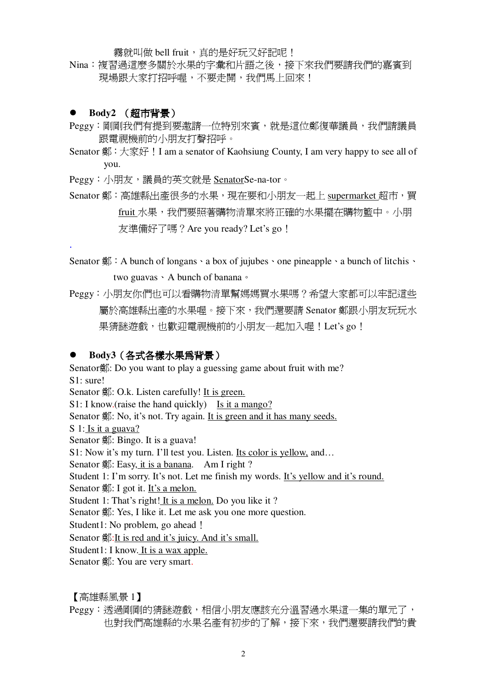霧就叫做 bell fruit,真的是好玩又好記呢!

Nina:複習過這麼多關於水果的字彙和片語之後,接下來我們要請我們的嘉賓到 現場跟大家打招呼喔,不要走開,我們馬上回來!

#### **Body2** (超市背景)

.

- Peggy:剛剛我們有提到要邀請一位特別來賓,就是這位鄭復華議員,我們請議員 跟雷視機前的小朋友打聲招呼。
- Senator  $\mathfrak{A}$ :  $\pm \overline{\mathfrak{F}}$   $\overline{K}$ ! I am a senator of Kaohsiung County, I am very happy to see all of you.

Peggy:小朋友,議員的英文就是 SenatorSe-na-tor。

Senator 鄭:高雄縣出產很多的水果,現在要和小朋友一起上 supermarket 超市,買 fruit 水果,我們要照著購物清單來將正確的水果擺在購物籃中。小朋 友進備好了嗎? Are you ready? Let's go !

Senator  $\frac{m}{\sqrt{K}}$  A bunch of longans  $\cdot$  a box of jujubes  $\cdot$  one pineapple  $\cdot$  a bunch of litchis  $\cdot$ two guavas  $\cdot$  A bunch of banana  $\cdot$ 

Peggy:小朋友你們也可以看購物清單幫媽媽買水果嗎?希望大家都可以牢記這些 屬於高雄縣出產的水果喔。接下來,我們還要請 Senator 鄭跟小朋友玩玩水 果猜謎遊戲,也歡迎電視機前的小朋友一起加入喔!Let's go!

#### Body3 (各式各樣水果爲背景)

Senator鄭: Do you want to play a guessing game about fruit with me? S1: sure! Senator 鄭: O.k. Listen carefully! It is green. S1: I know. (raise the hand quickly) Is it a mango? Senator 鄭: No, it's not. Try again. It is green and it has many seeds. S 1: Is it a guava? Senator 鄭: Bingo. It is a guava! S1: Now it's my turn. I'll test you. Listen. Its color is yellow, and... Senator  $\frac{4}{5}$ : Easy, it is a banana. Am I right ? Student 1: I'm sorry. It's not. Let me finish my words. It's yellow and it's round. Senator  $\frac{4}{5}$ : I got it. It's a melon. Student 1: That's right! It is a melon. Do you like it ? Senator 鄭: Yes, I like it. Let me ask you one more question. Student1: No problem, go ahead! Senator  $\frac{4}{3}$ : It is red and it's juicy. And it's small. Student1: I know. It is a wax apple. Senator . You are very smart.

【高雄縣風景 1】

Peggy:透過剛剛的猜謎遊戲,相信小朋友應該充分溫習過水果這一集的單元了, 也對我們高雄縣的水果名產有初步的了解,接下來,我們還要請我們的貴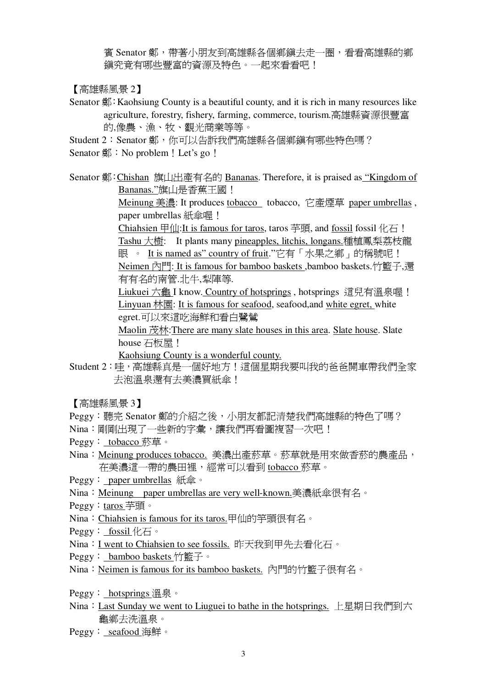賓 Senator 鄭,帶著小朋友到高雄縣各個鄉鎭去走一圈,看看高雄縣的鄉 鎭究竟有哪些豐富的資源及特色。一起來看看吧!

【高雄縣風景 2】

- Senator 鄭:Kaohsiung County is a beautiful county, and it is rich in many resources like agriculture, forestry, fishery, farming, commerce, tourism.高雄縣資源很豐富 的,像農、漁、牧、觀光商業等等。
- Student 2: Senator 鄭,你可以告訴我們高雄縣各個鄉鎭有哪些特色嗎? Senator  $\frac{40}{10}$  : No problem! Let's go!
- Senator 鄭:Chishan 旗山出產有名的 Bananas. Therefore, it is praised as "Kingdom of Bananas."旗山是香蕉王國!

Meinung 美濃: It produces tobacco tobacco, 它產煙草 paper umbrellas, paper umbrellas 紙傘喔!

Chiahsien 甲仙:It is famous for taros, taros 芊頭, and fossil fossil  $|E|$ . Tashu 大樹: It plants many pineapples, litchis, longans.種植鳳梨荔枝龍 眼 。 It is named as" country of fruit."它有「水果之鄉」的稱號呢! Neimen 內門: It is famous for bamboo baskets ,bamboo baskets.竹籃子,還 有有名的南管.北牛,犁陣等.

Liukuei 六龜 I know. Country of hotsprings, hotsprings 這兒有溫泉喔! Linyuan 林園: It is famous for seafood, seafood, and white egret, white egret.可以來這吃海鮮和看白鷺鷥

Maolin 茂林: There are many slate houses in this area. Slate house. Slate house 石板屋!

Kaohsiung County is a wonderful county.

Student 2: 哇, 高雄縣真是一個好地方!這個星期我要叫我的爸爸開車帶我們全家 去泡溫泉還有去美濃買紙傘!

【高雄縣風景 3】

- Peggy: 聽完 Senator 鄭的介紹之後, 小朋友都記清楚我們高雄縣的特色了嗎?
- Nina:剛剛出現了一些新的字彙,讓我們再看圖複習一次吧!
- Peggy: tobacco 菸草。
- Nina:Meinung produces tobacco. 美濃出產菸草。菸草就是用來做香菸的農產品, 在美濃這一帶的農田裡,經常可以看到 tobacco 菸草。
- Peggy: paper umbrellas 紙傘。
- Nina: Meinung paper umbrellas are very well-known.美濃紙傘很有名。
- Peggy: taros 芊丽。
- Nina: Chiahsien is famous for its taros.甲仙的竽頭很有名。
- Peggy: fossil  $#E \circ$
- Nina: I went to Chiahsien to see fossils. 昨天我到甲先去看化石。
- Peggy: bamboo baskets 竹籃子。
- Nina: Neimen is famous for its bamboo baskets. 內門的竹籃子很有名。
- Peggy: hotsprings 溫泉。
- Nina: Last Sunday we went to Liuguei to bathe in the hotsprings. 上星期日我們到六 龜鄉夫洗溫泉。
- Peggy: seafood 海鮮。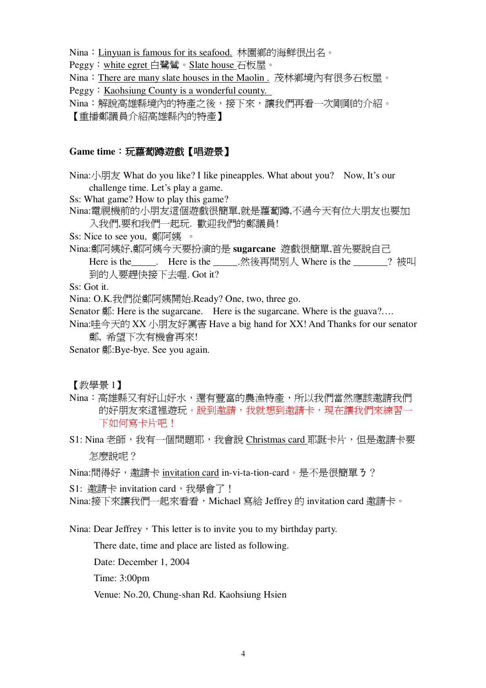Nina: Linyuan is famous for its seafood. 林園鄉的海鮮很出名。

Peggy: white egret 白鷺鷥。Slate house 石板屋。

Nina: There are many slate houses in the Maolin . 茂林鄉境內有很多石板屋。

Peggy: Kaohsiung County is a wonderful county.

Nina:解說高雄縣境內的特產之後,接下來,讓我們再看一次剛剛的介紹。 【重播鄭議員介紹高雄縣內的特產】

# **Game** time: 玩蘿蔔蹲遊戲【唱遊景】

Nina:/ $\frac{1}{\sqrt{2}}$  What do you like? I like pineapples. What about you? Now, It's our challenge time. Let's play a game.

Ss: What game? How to play this game?

Nina:電視機前的小朋友這個游戲很簡單,就是蘿蔔蹲,不過今天有位大朋友也要加 入我們,要和我們一起玩. 歡迎我們的鄭議員!

Ss: Nice to see you, 鄭阿姨 。

Nina:鄭阿姨好,鄭阿姨今天要扮演的是 sugarcane 遊戲很簡單,首先要說自己 Here is the \_\_\_\_\_. Here is the \_\_\_\_\_.然後再問別人 Where is the \_\_\_\_\_\_? 被叫 到的人要趕快接下去喔. Got it?

Ss: Got it.

Nina: O.K.我們從鄭阿姨開始.Ready? One, two, three go.

Senator  $\frac{d}{dx}$ : Here is the sugarcane. Here is the sugarcane. Where is the guava?...

Nina:哇今天的 XX 小朋友好厲害 Have a big hand for XX! And Thanks for our senator 鄭、希望下次有機會再來!

Senator 鄭:Bye-bye. See you again.

【教學景1】

Nina:高雄縣又有好山好水,澴有豐富的農漁特產,所以我們當然應該激請我們 的好朋友來這裡遊玩。說到邀請,我就想到邀請卡,現在讓我們來練習一 下如何寫卡片吧!

S1: Nina 老師, 我有一個問題耶, 我會說 Christmas card 耶誕卡片, 但是激請卡要 怎麼說呢?

Nina:問得好,邀請卡 invitation card in-vi-ta-tion-card。是不是很簡單3?

S1: 激請卡 invitation card, 我學會了!

Nina:接下來讓我們一起來看看, Michael 寫給 Jeffrey 的 invitation card 激請卡。

Nina: Dear Jeffrey, This letter is to invite you to my birthday party.

There date, time and place are listed as following.

Date: December 1, 2004

Time: 3:00pm

Venue: No.20, Chung-shan Rd. Kaohsiung Hsien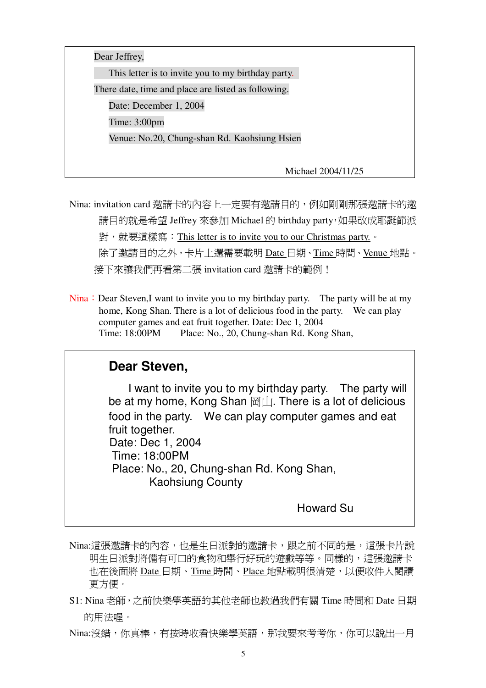

Nina: invitation card 激請卡的內容上一定要有激請日的, 例如剛剛那張激請卡的激 請目的就是希望 Jeffrey 來參加 Michael 的 birthday party, 如果改成耶誕節派 對, 就要這樣寫: This letter is to invite you to our Christmas party. • 除了激請目的之外,卡片上還需要載明 Date 日期、Time 時間、Venue 地點。 接下來讓我們再看第二張 invitation card 激請卡的範例!

Nina: Dear Steven,I want to invite you to my birthday party. The party will be at my home, Kong Shan. There is a lot of delicious food in the party. We can play computer games and eat fruit together. Date: Dec 1, 2004 Time: 18:00PM Place: No., 20, Chung-shan Rd. Kong Shan,

# **Dear Steven,**

I want to invite you to my birthday party. The party will be at my home, Kong Shan  $\mathbb{H} \perp$ . There is a lot of delicious food in the party. We can play computer games and eat fruit together. Date: Dec 1, 2004 Time: 18:00PM Place: No., 20, Chung-shan Rd. Kong Shan, Kaohsiung County

Howard Su

- Nina:這張激請卡的內容,也是生日派對的邀請卡,跟之前不同的是,這張卡片說 明生日派對將備有可口的食物和舉行好玩的游戲等等。同樣的,這張激請卡 也在後面將 Date 日期、Time 時間、Place 地點載明很清楚,以便收件人閱讀 更方便。
- S1: Nina 老師,之前快樂學英語的其他老師也教過我們有關 Time 時間和 Date 日期 的用法喔。

Nina:沒錯,你真棒,有按時收看快樂學英語,那我要來考考你,你可以說出一月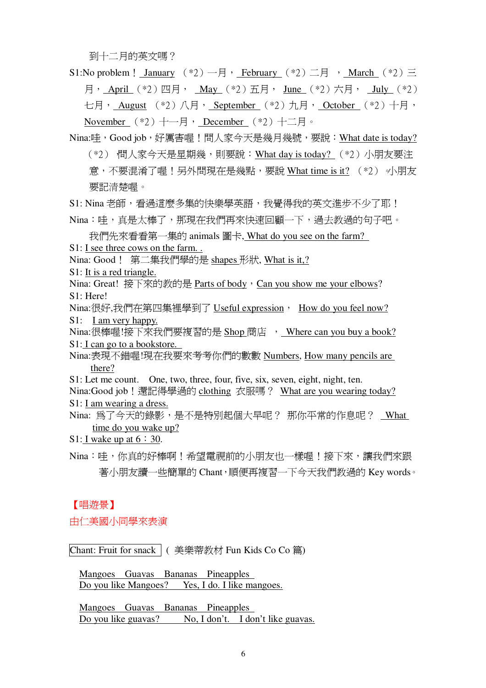到十二月的英文嗎?

S1:No problem! January  $(*2)$  -  $\exists$ , February  $(*2)$  二月, March  $(*2)$  三  $\overline{H}$ , April (\*2) 四月, May (\*2) 五月, June (\*2) 六月, July (\*2) 七月, August (\*2) 八月, September (\*2) 九月, October (\*2) 十月, November  $(*2)$  +- $\overline{z}$  December  $(*2)$  + $\overline{z}$  =

Nina:哇, Good job, 好厲害喔!問人家今天是幾月幾號, 要說: What date is today? (\*2) 橍人家今天是星期幾,則要說:What day is today? (\*2)小朋友要注 意,不要混淆了喔!另外問現在是幾點,要說 What time is it?  $(*)$ 要記清楚喔。

S1: Nina 老師, 看過這麼多集的快樂學英語, 我覺得我的英文淮步不少了耶!

Nina:哇,真是太棒了,那現在我們再來快速回顧一下,過去教過的句子吧。

我們先來看看第一集的 animals 圖卡, What do you see on the farm? S1: I see three cows on the farm. .

Nina: Good! 第二集我們學的是 shapes 形狀, What is it,?

S1: It is a red triangle.

Nina: Great! 接下來的教的是 Parts of body, Can you show me your elbows? S1: Here!

Nina:很好,我們在第四集裡學到了 Useful expression, How do you feel now? S1: I am very happy.

Nina:很棒喔!接下來我們要複習的是 Shop 商店 , Where can you buy a book? S1: I can go to a bookstore.

Nina:表現不錯喔!現在我要來考考你們的數數 Numbers, How many pencils are there?

S1: Let me count. One, two, three, four, five, six, seven, eight, night, ten.

Nina:Good job! 還記得學過的 clothing 衣服嗎? What are you wearing today? S1: I am wearing a dress.

Nina: 為了今天的錄影,是不是特別起個大早呢? 那你平常的作息呢? What time do you wake up?

S1: I wake up at  $6:30$ .

Nina:哇,你直的好棒啊!希望雷視前的小朋友也一樣喔!接下來,讓我們來跟 著小朋友讀一些簡單的 Chant, 順便再複習一下今天我們教過的 Key words。

## 【唱游景】

由仁美國小同學來表演

Chant: Fruit for snack  $\vert$  ( 美樂蒂教材 Fun Kids Co Co 篇)

Mangoes Guavas Bananas Pineapples Do you like Mangoes? Yes, I do. I like mangoes.

Mangoes Guavas Bananas Pineapples Do you like guavas? No, I don't. I don't like guavas.